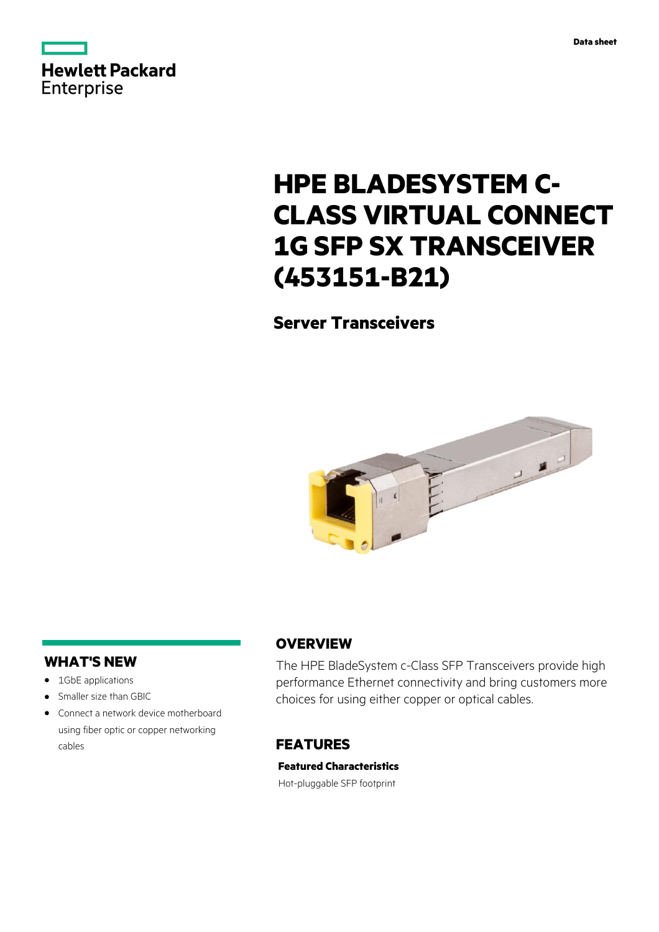



# **HPE BLADESYSTEM C-CLASS VIRTUAL CONNECT 1G SFP SX TRANSCEIVER (453151-B21)**

# **Server Transceivers**



#### **WHAT'S NEW**

- **·** 1GbE applications
- **·** Smaller size than GBIC
- **·** Connect a network device motherboard using fiber optic or copper networking cables

#### **OVERVIEW**

The HPE BladeSystem c-Class SFP Transceivers provide high performance Ethernet connectivity and bring customers more choices for using either copper or optical cables.

## **FEATURES**

**Featured Characteristics** Hot-pluggable SFP footprint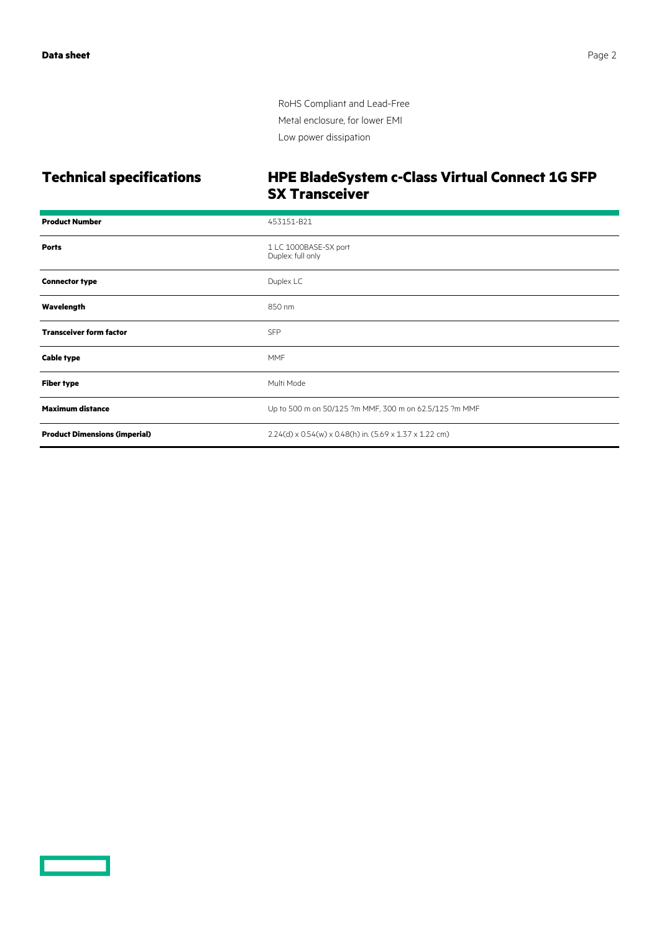RoHS Compliant and Lead-Free Metal enclosure, for lower EMI Low power dissipation

#### **Technical specifications HPE BladeSystem c-Class Virtual Connect 1G SFP SX Transceiver**

| <b>Product Number</b>                | 453151-B21                                              |
|--------------------------------------|---------------------------------------------------------|
| <b>Ports</b>                         | 1 LC 1000BASE-SX port<br>Duplex: full only              |
| <b>Connector type</b>                | Duplex LC                                               |
| Wavelength                           | 850 nm                                                  |
| <b>Transceiver form factor</b>       | <b>SFP</b>                                              |
| <b>Cable type</b>                    | <b>MMF</b>                                              |
| <b>Fiber type</b>                    | Multi Mode                                              |
| <b>Maximum distance</b>              | Up to 500 m on 50/125 ?m MMF, 300 m on 62.5/125 ?m MMF  |
| <b>Product Dimensions (imperial)</b> | 2.24(d) x 0.54(w) x 0.48(h) in. (5.69 x 1.37 x 1.22 cm) |